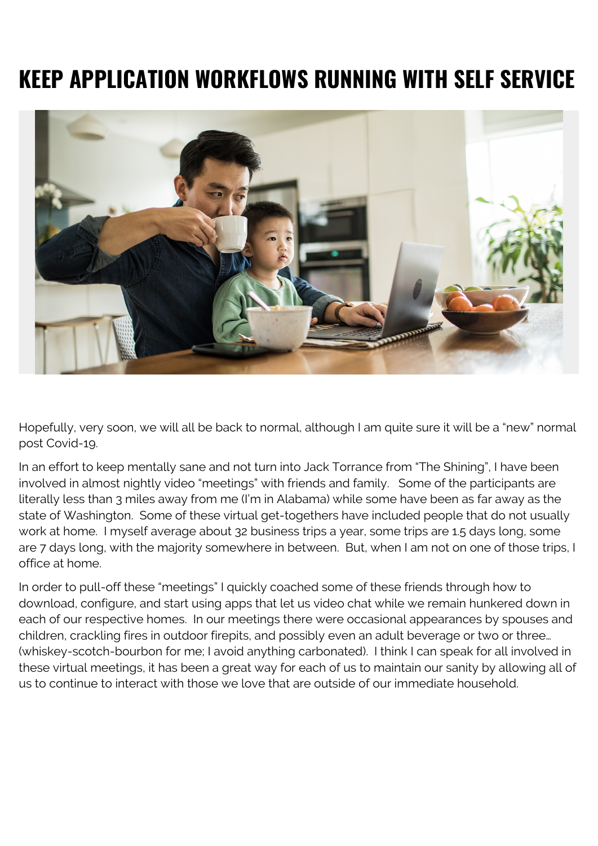## **KEEP APPLICATION WORKFLOWS RUNNING WITH SELF SERVICE**



Hopefully, very soon, we will all be back to normal, although I am quite sure it will be a "new" normal post Covid-19.

In an effort to keep mentally sane and not turn into Jack Torrance from "The Shining", I have been involved in almost nightly video "meetings" with friends and family. Some of the participants are literally less than 3 miles away from me (I'm in Alabama) while some have been as far away as the state of Washington. Some of these virtual get-togethers have included people that do not usually work at home. I myself average about 32 business trips a year, some trips are 1.5 days long, some are 7 days long, with the majority somewhere in between. But, when I am not on one of those trips, I office at home.

In order to pull-off these "meetings" I quickly coached some of these friends through how to download, configure, and start using apps that let us video chat while we remain hunkered down in each of our respective homes. In our meetings there were occasional appearances by spouses and children, crackling fires in outdoor firepits, and possibly even an adult beverage or two or three… (whiskey-scotch-bourbon for me; I avoid anything carbonated). I think I can speak for all involved in these virtual meetings, it has been a great way for each of us to maintain our sanity by allowing all of us to continue to interact with those we love that are outside of our immediate household.